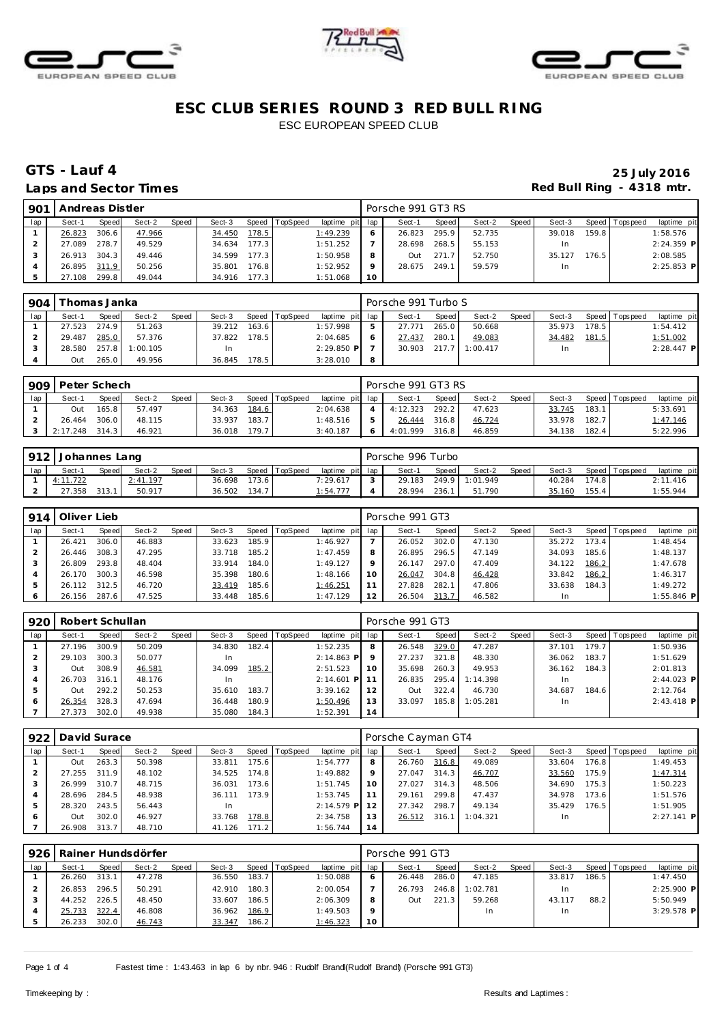





## **GTS - Lauf 4 25 July 2016**

## Laps and Sector Times **Red Bull Ring - 4318 mtr.**

| 901 | Andreas Distler |       |        |       |        |       |          |                 |                 | Porsche 991 GT3 RS |       |        |       |           |       |                 |              |
|-----|-----------------|-------|--------|-------|--------|-------|----------|-----------------|-----------------|--------------------|-------|--------|-------|-----------|-------|-----------------|--------------|
| lap | Sect-1          | Speed | Sect-2 | Speed | Sect-3 | Speed | TopSpeed | laptime pit lap |                 | Sect-1             | Speed | Sect-2 | Speed | Sect-3    |       | Speed Tops peed | laptime pit  |
|     | 26.823          | 306.6 | 47.966 |       | 34.450 | 178.5 |          | 1:49.239        |                 | 26.823             | 295.9 | 52.735 |       | 39.018    | 159.8 |                 | 1:58.576     |
|     | 27.089          | 278.7 | 49.529 |       | 34.634 | 177.3 |          | 1:51.252        |                 | 28.698             | 268.5 | 55.153 |       | <b>In</b> |       |                 | $2:24.359$ P |
|     | 26.913          | 304.3 | 49.446 |       | 34.599 | 177.3 |          | 1:50.958        | 8               | Out                | 271.7 | 52.750 |       | 35.127    | 176.5 |                 | 2:08.585     |
|     | 26.895 311.9    |       | 50.256 |       | 35.801 | 176.8 |          | 1:52.952        |                 | 28.675             | 249.1 | 59.579 |       | <b>In</b> |       |                 | $2:25.853$ P |
|     | 27.108          | 299.8 | 49.044 |       | 34.916 | 177.3 |          | 1:51.068        | 10 <sup>°</sup> |                    |       |        |       |           |       |                 |              |

| 904 | Thomas Janka |       |          |       |        |       |          |                 |   | Porsche 991 Turbo S |       |          |         |        |       |                 |              |
|-----|--------------|-------|----------|-------|--------|-------|----------|-----------------|---|---------------------|-------|----------|---------|--------|-------|-----------------|--------------|
| lap | Sect-1       | Speed | Sect-2   | Speed | Sect-3 | Speed | TopSpeed | laptime pit lap |   | Sect-1              | Speed | Sect-2   | Speed I | Sect-3 |       | Speed Tops peed | laptime pit  |
|     | 27.523       | 274.9 | 51.263   |       | 39.212 | 163.6 |          | 1:57.998        |   | 27.771              | 265.0 | 50.668   |         | 35.973 | 178.5 |                 | 1:54.412     |
|     | 29.487       | 285.0 | 57.376   |       | 37.822 | 178.5 |          | 2:04.685        |   | 27.437              | 280.1 | 49.083   |         | 34.482 | 181.5 |                 | 1:51.002     |
|     | 28.580       | 257.8 | 1:00.105 |       | In.    |       |          | $2:29.850$ P    |   | 30.903 217.7        |       | 1:00.417 |         | In     |       |                 | $2:28.447$ P |
|     | Out          | 265.0 | 49.956   |       | 36.845 | 178.5 |          | 3:28.010        | 8 |                     |       |          |         |        |       |                 |              |

| 909 | Peter Schech |       |        |              |        |       |          |                 | Porsche 991 GT3 RS |              |        |         |        |       |                   |             |
|-----|--------------|-------|--------|--------------|--------|-------|----------|-----------------|--------------------|--------------|--------|---------|--------|-------|-------------------|-------------|
| lap | Sect-1       | Speed | Sect-2 | <b>Speed</b> | Sect-3 | Speed | TopSpeed | laptime pit lap | Sect-1             | <b>Speed</b> | Sect-2 | Speed i | Sect-3 |       | Speed   Tops peed | laptime pit |
|     | Out          | 165.8 | 57.497 |              | 34.363 | 184.6 |          | 2:04.638        | 4:12.323           | 292.2        | 47.623 |         | 33.745 | 183.1 |                   | 5:33.691    |
|     | 26.464       | 306.0 | 48.115 |              | 33.937 | 183.7 |          | 1:48.516        | 26.444             | 316.8        | 46.724 |         | 33.978 | 182.7 |                   | 1:47.146    |
|     | 2:17.248     | 314.3 | 46.921 |              | 36.018 | 179.7 |          | 3:40.187        | 4:01.999           | 316.8        | 46.859 |         | 34.138 | 182.4 |                   | 5:22.996    |

|     | 912   Johannes Lang |              |          |              |        |       |                |                 | Porsche 996 Turbo |       |          |       |        |       |                 |             |
|-----|---------------------|--------------|----------|--------------|--------|-------|----------------|-----------------|-------------------|-------|----------|-------|--------|-------|-----------------|-------------|
| lap | Sect-'              | <b>Speed</b> | Sect-2   | <b>Speed</b> | Sect-3 |       | Speed TopSpeed | laptime pit lap | Sect-1            | Speed | Sect-2   | Speed | Sect-3 |       | Speed Tops peed | laptime pit |
|     | 4:11.722            |              | 2:41.197 |              | 36.698 | 173.6 |                | 7:29.617        | 29.183            | 249.9 | 1:01.949 |       | 40.284 | 174.8 |                 | 2:11.416    |
|     | 27.358              | 313.         | 50.917   |              | 36.502 | 134.7 |                | 1:54.777        | 28.994            | 236.  | 51.790   |       | 35.160 | 155.4 |                 | 1:55.944    |

| 914 | Oliver Lieb  |       |        |       |        |       |                |                 |         | Porsche 991 GT3 |       |        |       |        |       |                 |              |
|-----|--------------|-------|--------|-------|--------|-------|----------------|-----------------|---------|-----------------|-------|--------|-------|--------|-------|-----------------|--------------|
| lap | Sect-1       | Speed | Sect-2 | Speed | Sect-3 |       | Speed TopSpeed | laptime pit lap |         | Sect-1          | Speed | Sect-2 | Speed | Sect-3 |       | Speed Tops peed | laptime pit  |
|     | 26.421       | 306.0 | 46.883 |       | 33.623 | 185.9 |                | 1:46.927        |         | 26.052          | 302.0 | 47.130 |       | 35.272 | 173.4 |                 | 1:48.454     |
|     | 26.446       | 308.3 | 47.295 |       | 33.718 | 185.2 |                | 1:47.459        | 8       | 26.895          | 296.5 | 47.149 |       | 34.093 | 185.6 |                 | 1:48.137     |
|     | 26.809       | 293.8 | 48.404 |       | 33.914 | 184.0 |                | 1:49.127        | $\circ$ | 26.147          | 297.0 | 47.409 |       | 34.122 | 186.2 |                 | 1:47.678     |
|     | 26.170       | 300.3 | 46.598 |       | 35.398 | 180.6 |                | 1:48.166        | 10      | 26.047          | 304.8 | 46.428 |       | 33.842 | 186.2 |                 | 1:46.317     |
|     | 26.112 312.5 |       | 46.720 |       | 33.419 | 185.6 |                | 1:46.251        |         | 27.828          | 282.1 | 47.806 |       | 33.638 | 184.3 |                 | 1:49.272     |
|     | 26.156       | 287.6 | 47.525 |       | 33.448 | 185.6 |                | 1:47.129        | 12      | 26.504          | 313.7 | 46.582 |       | In.    |       |                 | $1:55.846$ P |

| 920 | Robert Schullan |       |        |       |        |       |                 |              |     | Porsche 991 GT3 |       |          |       |        |       |                 |              |
|-----|-----------------|-------|--------|-------|--------|-------|-----------------|--------------|-----|-----------------|-------|----------|-------|--------|-------|-----------------|--------------|
| lap | Sect-1          | Speed | Sect-2 | Speed | Sect-3 | Speed | <b>TopSpeed</b> | laptime pit  | lap | Sect-1          | Speed | Sect-2   | Speed | Sect-3 |       | Speed Tops peed | laptime pit  |
|     | 27.196          | 300.9 | 50.209 |       | 34.830 | 182.4 |                 | 1:52.235     | 8   | 26.548          | 329.0 | 47.287   |       | 37.101 | 179.7 |                 | 1:50.936     |
|     | 29.103          | 300.3 | 50.077 |       | In     |       |                 | $2:14.863$ P |     | 27.237          | 321.8 | 48.330   |       | 36.062 | 183.7 |                 | 1:51.629     |
|     | Out             | 308.9 | 46.581 |       | 34.099 | 185.2 |                 | 2:51.523     | 10  | 35.698          | 260.3 | 49.953   |       | 36.162 | 184.3 |                 | 2:01.813     |
|     | 26.703          | 316.1 | 48.176 |       | In     |       |                 | $2:14.601$ P |     | 26.835          | 295.4 | 1:14.398 |       | In     |       |                 | $2:44.023$ P |
|     | Out             | 292.2 | 50.253 |       | 35.610 | 183.7 |                 | 3:39.162     | 12  | Out             | 322.4 | 46.730   |       | 34.687 | 184.6 |                 | 2:12.764     |
|     | 26.354          | 328.3 | 47.694 |       | 36.448 | 180.9 |                 | 1:50.496     | 13  | 33.097          | 185.8 | 1:05.281 |       | In     |       |                 | $2:43.418$ P |
|     | 27.373          | 302.0 | 49.938 |       | 35.080 | 184.3 |                 | 1:52.391     | 14  |                 |       |          |       |        |       |                 |              |

|     | 922   David Surace |       |        |       |        |        |                |              |     | Porsche Cayman GT4 |       |          |       |        |       |                 |              |
|-----|--------------------|-------|--------|-------|--------|--------|----------------|--------------|-----|--------------------|-------|----------|-------|--------|-------|-----------------|--------------|
| lap | Sect-1             | Speed | Sect-2 | Speed | Sect-3 |        | Speed TopSpeed | laptime pit  | lap | Sect-1             | Speed | Sect-2   | Speed | Sect-3 |       | Speed Tops peed | laptime pit  |
|     | Out                | 263.3 | 50.398 |       | 33.811 | 175.61 |                | 1:54.777     | 8   | 26.760             | 316.8 | 49.089   |       | 33.604 | 176.8 |                 | 1:49.453     |
|     | 27.255             | 311.9 | 48.102 |       | 34.525 | 174.8  |                | 1:49.882     | 9   | 27.047             | 314.3 | 46.707   |       | 33.560 | 175.9 |                 | 1:47.314     |
|     | 26.999             | 310.7 | 48.715 |       | 36.031 | 173.6  |                | 1:51.745     | 10  | 27.027             | 314.3 | 48.506   |       | 34.690 | 175.3 |                 | 1:50.223     |
|     | 28.696             | 284.5 | 48.938 |       | 36.111 | 173.9  |                | 1:53.745     |     | 29.161             | 299.8 | 47.437   |       | 34.978 | 173.6 |                 | 1:51.576     |
| 5   | 28.320             | 243.5 | 56.443 |       | In     |        |                | $2:14.579$ P | 12  | 27.342             | 298.7 | 49.134   |       | 35.429 | 176.5 |                 | 1:51.905     |
| 6   | Out                | 302.0 | 46.927 |       | 33.768 | 178.8  |                | 2:34.758     | 13  | 26.512             | 316.1 | 1:04.321 |       | In.    |       |                 | $2:27.141$ P |
|     | 26.908             | 313.7 | 48.710 |       | 41.126 | 171.2  |                | 1:56.744     | 14  |                    |       |          |       |        |       |                 |              |

| 926 |        |       | Rainer Hundsdörfer |       |        |       |                |                 |              | Porsche 991 GT3 |       |          |       |        |       |                 |              |
|-----|--------|-------|--------------------|-------|--------|-------|----------------|-----------------|--------------|-----------------|-------|----------|-------|--------|-------|-----------------|--------------|
| lap | Sect-1 | Speed | Sect-2             | Speed | Sect-3 |       | Speed TopSpeed | laptime pit lap |              | Sect-1          | Speed | Sect-2   | Speed | Sect-3 |       | Speed Tops peed | laptime pit  |
|     | 26.260 | 313.1 | 47.278             |       | 36.550 | 183.7 |                | 1:50.088        | <sup>6</sup> | 26.448          | 286.0 | 47.185   |       | 33.817 | 186.5 |                 | 1:47.450     |
|     | 26.853 | 296.5 | 50.291             |       | 42.910 | 180.3 |                | 2:00.054        |              | 26.793          | 246.8 | 1:02.781 |       | In.    |       |                 | $2:25.900$ P |
|     | 44.252 | 226.5 | 48.450             |       | 33.607 | 186.5 |                | 2:06.309        | 8            | Out             | 221.3 | 59.268   |       | 43.117 | 88.2  |                 | 5:50.949     |
|     | 25.733 | 322.4 | 46.808             |       | 36.962 | 186.9 |                | 1:49.503        | $\circ$      |                 |       | In       |       | In     |       |                 | $3:29.578$ P |
|     | 26.233 | 302.0 | 46.743             |       | 33.347 | 186.2 |                | 1:46.323        | 10           |                 |       |          |       |        |       |                 |              |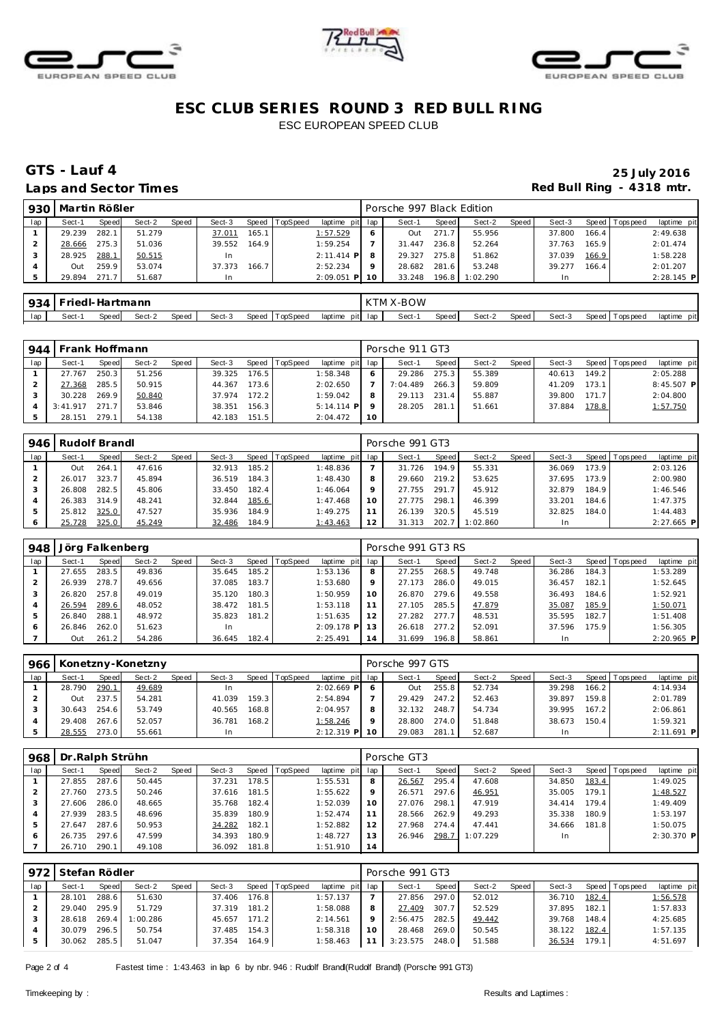





#### Laps and Sector Times **Red Bull Ring - 4318 mtr.**

# **GTS - Lauf 4 25 July 2016**

| 930 | Martin Rößler |       |        |       |        |       |          |                 |    | Porsche 997 Black Edition |       |          |       |        |                    |                |              |
|-----|---------------|-------|--------|-------|--------|-------|----------|-----------------|----|---------------------------|-------|----------|-------|--------|--------------------|----------------|--------------|
| lap | Sect-1        | Speed | Sect-2 | Speed | Sect-3 | Speed | TopSpeed | laptime pit lap |    | Sect-1                    | Speed | Sect-2   | Speed | Sect-3 |                    | Speed Topspeed | laptime pit  |
|     | 29.239        | 282.1 | 51.279 |       | 37.011 | 165.1 |          | 1:57.529        | O  | Out                       | 271.7 | 55.956   |       | 37.800 | 166.4 <sub>1</sub> |                | 2:49.638     |
|     | 28.666        | 275.3 | 51.036 |       | 39.552 | 164.9 |          | 1:59.254        |    | 31.447                    | 236.8 | 52.264   |       | 37.763 | 165.9              |                | 2:01.474     |
|     | 28.925        | 288.1 | 50.515 |       |        |       |          | $2:11.414$ P    |    | 29.327                    | 275.8 | 51.862   |       | 37.039 | 166.9              |                | 1:58.228     |
|     | Out           | 259.9 | 53.074 |       | 37.373 | 166.7 |          | 2:52.234        |    | 28.682                    | 281.6 | 53.248   |       | 39.277 | 166.4              |                | 2:01.207     |
|     | 29.894        | 271.7 | 51.687 |       |        |       |          | $2:09.051$ P    | 10 | 33.248                    | 196.8 | 1:02.290 |       | In.    |                    |                | $2:28.145$ P |

|     | 934 Friedl-Hartmann |       |        |       |        |                |                 | KTM X-BOW |       |        |         |        |                   |             |
|-----|---------------------|-------|--------|-------|--------|----------------|-----------------|-----------|-------|--------|---------|--------|-------------------|-------------|
| lap | Sect-1              | Speed | Sect-2 | Speed | Sect-3 | Speed TopSpeed | laptime pit lap | Sect-1    | Speed | Sect-2 | Speed i | Sect-3 | Speed   Tops peed | laptime pit |

|     | 944   Frank Hoffmann |       |        |       |        |       |                 |                 |           | Porsche 911 GT3 |       |        |       |        |       |                 |              |
|-----|----------------------|-------|--------|-------|--------|-------|-----------------|-----------------|-----------|-----------------|-------|--------|-------|--------|-------|-----------------|--------------|
| lap | Sect-1               | Speed | Sect-2 | Speed | Sect-3 | Speed | <b>TopSpeed</b> | laptime pit lap |           | Sect-1          | Speed | Sect-2 | Speed | Sect-3 |       | Speed Tops peed | laptime pit  |
|     | 27.767               | 250.3 | 51.256 |       | 39.325 | 176.5 |                 | 1:58.348        |           | 29.286          | 275.3 | 55.389 |       | 40.613 | 149.2 |                 | 2:05.288     |
|     | 27.368               | 285.5 | 50.915 |       | 44.367 | 173.6 |                 | 2:02.650        |           | 7:04.489        | 266.3 | 59.809 |       | 41.209 | 173.1 |                 | $8:45.507$ P |
|     | 30.228               | 269.9 | 50.840 |       | 37.974 | 172.2 |                 | 1:59.042        | 8         | 29.113          | 231.4 | 55.887 |       | 39.800 | 171.7 |                 | 2:04.800     |
|     | 3:41.917             | 271   | 53.846 |       | 38.351 | 156.3 |                 | $5:14.114$ P    |           | 28.205          | 281.1 | 51.661 |       | 37.884 | 178.8 |                 | 1:57.750     |
|     | 28.151               | 279.  | 54.138 |       | 42.183 | 151.5 |                 | 2:04.472        | <b>10</b> |                 |       |        |       |        |       |                 |              |

|     | 946 Rudolf Brandl |       |        |       |        |       |                  |                 |    | Porsche 991 GT3 |        |          |       |        |       |                |              |
|-----|-------------------|-------|--------|-------|--------|-------|------------------|-----------------|----|-----------------|--------|----------|-------|--------|-------|----------------|--------------|
| lap | Sect-1            | Speed | Sect-2 | Speed | Sect-3 |       | Speed   TopSpeed | laptime pit lap |    | Sect-1          | Speed  | Sect-2   | Speed | Sect-3 |       | Speed Topspeed | laptime pit  |
|     | Out               | 264.1 | 47.616 |       | 32.913 | 185.2 |                  | 1:48.836        |    | 31.726          | 194.9. | 55.331   |       | 36.069 | 73.9  |                | 2:03.126     |
|     | 26.017            | 323.7 | 45.894 |       | 36.519 | 184.3 |                  | 1:48.430        | 8  | 29.660          | 219.2  | 53.625   |       | 37.695 | 73.9  |                | 2:00.980     |
|     | 26.808            | 282.5 | 45.806 |       | 33.450 | 182.4 |                  | 1:46.064        |    | 27.755          | 291.7  | 45.912   |       | 32.879 | 184.9 |                | 1:46.546     |
|     | 26.383            | 314.9 | 48.241 |       | 32.844 | 185.6 |                  | 1:47.468        | 10 | 27.775          | 298.1  | 46.399   |       | 33.201 | 184.6 |                | 1:47.375     |
|     | 25.812            | 325.0 | 47.527 |       | 35.936 | 184.9 |                  | 1:49.275        |    | 26.139          | 320.5  | 45.519   |       | 32.825 | 184.0 |                | 1:44.483     |
| 6   | 25.728            | 325.0 | 45.249 |       | 32.486 | 184.9 |                  | 1:43.463        | 12 | 31.313          | 202.7  | 1:02.860 |       |        |       |                | $2:27.665$ P |

| 948 | Jörg Falkenberg |       |        |       |        |       |                |                 |                | Porsche 991 GT3 RS |       |        |       |        |       |                |              |
|-----|-----------------|-------|--------|-------|--------|-------|----------------|-----------------|----------------|--------------------|-------|--------|-------|--------|-------|----------------|--------------|
| lap | Sect-1          | Speed | Sect-2 | Speed | Sect-3 |       | Speed TopSpeed | laptime pit lap |                | Sect-1             | Speed | Sect-2 | Speed | Sect-3 |       | Speed Topspeed | laptime pit  |
|     | 27.655          | 283.5 | 49.836 |       | 35.645 | 185.2 |                | 1:53.136        | 8              | 27.255             | 268.5 | 49.748 |       | 36.286 | 184.3 |                | 1:53.289     |
|     | 26.939          | 278.7 | 49.656 |       | 37.085 | 183.7 |                | 1:53.680        | 9              | 27.173             | 286.0 | 49.015 |       | 36.457 | 182.1 |                | 1:52.645     |
|     | 26.820          | 257.8 | 49.019 |       | 35.120 | 180.3 |                | 1:50.959        | 10             | 26.870             | 279.6 | 49.558 |       | 36.493 | 184.6 |                | 1:52.921     |
|     | 26.594          | 289.6 | 48.052 |       | 38.472 | 181.5 |                | 1:53.118        |                | 27.105             | 285.5 | 47.879 |       | 35.087 | 185.9 |                | 1:50.071     |
| 5   | 26.840          | 288.1 | 48.972 |       | 35.823 | 181.2 |                | 1:51.635        | 12             | 27.282             | 277.7 | 48.531 |       | 35.595 | 182.7 |                | 1:51.408     |
| 6   | 26.846          | 262.0 | 51.623 |       | In     |       |                | $2:09.178$ P    |                | 26.618             | 277.2 | 52.091 |       | 37.596 | 175.9 |                | 1:56.305     |
|     | Out             | 261.2 | 54.286 |       | 36.645 | 182.4 |                | 2:25.491        | $\overline{A}$ | 31.699             | 196.8 | 58.861 |       |        |       |                | $2:20.965$ P |

| 966 |        |       | Konetzny-Konetzny |       |        |       |                |                 |       | Porsche 997 GTS |       |        |       |        |       |                 |             |
|-----|--------|-------|-------------------|-------|--------|-------|----------------|-----------------|-------|-----------------|-------|--------|-------|--------|-------|-----------------|-------------|
| lap | Sect-1 | Speed | Sect-2            | Speed | Sect-3 |       | Speed TopSpeed | laptime pit lap |       | Sect-1          | Speed | Sect-2 | Speed | Sect-3 |       | Speed Tops peed | laptime pit |
|     | 28.790 | 290.1 | 49.689            |       | In     |       |                | $2:02.669$ P    |       | Out             | 255.8 | 52.734 |       | 39.298 | 166.2 |                 | 4:14.934    |
|     | Out    | 237.5 | 54.281            |       | 41.039 | 159.3 |                | 2:54.894        |       | 29.429          | 247.2 | 52.463 |       | 39.897 | 159.8 |                 | 2:01.789    |
|     | 30.643 | 254.6 | 53.749            |       | 40.565 | 168.8 |                | 2:04.957        | 8     | 32.132          | 248.7 | 54.734 |       | 39.995 | 167.2 |                 | 2:06.861    |
|     | 29.408 | 267.6 | 52.057            |       | 36.781 | 168.2 |                | 1:58.246        | Q     | 28.800          | 274.0 | 51.848 |       | 38.673 | 150.4 |                 | 1:59.321    |
|     | 28.555 | 273.0 | 55.661            |       | In     |       |                | $2:12.319$ P    | - 1 ດ | 29.083          | 281.7 | 52.687 |       | In.    |       |                 | 2:11.691 P  |

| 968          | Dr. Ralph Strühn |       |        |       |        |         |                 |             |         | Porsche GT3 |       |          |       |        |       |                   |              |
|--------------|------------------|-------|--------|-------|--------|---------|-----------------|-------------|---------|-------------|-------|----------|-------|--------|-------|-------------------|--------------|
| lap          | Sect-1           | Speed | Sect-2 | Speed | Sect-3 | Speed T | <b>TopSpeed</b> | laptime pit | lap     | Sect-1      | Speed | Sect-2   | Speed | Sect-3 | Speed | <b>T</b> ops peed | laptime pit  |
|              | 27.855           | 287.6 | 50.445 |       | 37.231 | 178.5   |                 | 1:55.531    | 8       | 26.567      | 295.4 | 47.608   |       | 34.850 | 183.4 |                   | 1:49.025     |
|              | 27.760           | 273.5 | 50.246 |       | 37.616 | 181.5   |                 | 1:55.622    | $\circ$ | 26.571      | 297.6 | 46.951   |       | 35.005 | 179.1 |                   | 1:48.527     |
|              | 27.606           | 286.0 | 48.665 |       | 35.768 | 182.4   |                 | 1:52.039    | 10      | 27.076      | 298.1 | 47.919   |       | 34.414 | 179.4 |                   | 1:49.409     |
|              | 27.939           | 283.5 | 48.696 |       | 35.839 | 180.9   |                 | 1:52.474    |         | 28.566      | 262.9 | 49.293   |       | 35.338 | 180.9 |                   | 1:53.197     |
| 5            | 27.647           | 287.6 | 50.953 |       | 34.282 | 182.1   |                 | 1:52.882    | 12      | 27.968      | 274.4 | 47.441   |       | 34.666 | 181.8 |                   | 1:50.075     |
| <sub>6</sub> | 26.735           | 297.6 | 47.599 |       | 34.393 | 180.9   |                 | 1:48.727    | 13      | 26.946      | 298.7 | 1:07.229 |       | In     |       |                   | $2:30.370$ P |
|              | 26.710           | 290.1 | 49.108 |       | 36.092 | 181.8   |                 | 1:51.910    | 14      |             |       |          |       |        |       |                   |              |

|     | 972 Stefan Rödler |       |          |       |        |       |          |                 |         | Porsche 991 GT3  |       |        |       |        |       |                   |             |
|-----|-------------------|-------|----------|-------|--------|-------|----------|-----------------|---------|------------------|-------|--------|-------|--------|-------|-------------------|-------------|
| lap | Sect-1            | Speed | Sect-2   | Speed | Sect-3 | Speed | TopSpeed | laptime pit lap |         | Sect-1           | Speed | Sect-2 | Speed | Sect-3 |       | Speed   Tops peed | laptime pit |
|     | 28.101            | 288.6 | 51.630   |       | 37.406 | 176.8 |          | 1:57.137        |         | 27.856           | 297.0 | 52.012 |       | 36.710 | 182.4 |                   | 1:56.578    |
|     | 29.040            | 295.9 | 51.729   |       | 37.319 | 181.2 |          | 1:58.088        |         | 27.409           | 307.7 | 52.529 |       | 37.895 | 182.1 |                   | 1:57.833    |
|     | 28.618 269.4      |       | 1:00.286 |       | 45.657 | 171.2 |          | 2:14.561        | $\circ$ | 2:56.475         | 282.5 | 49.442 |       | 39.768 | 148.4 |                   | 4:25.685    |
|     | 30.079            | 296.5 | 50.754   |       | 37.485 | 154.3 |          | 1:58.318        |         | 28.468           | 269.0 | 50.545 |       | 38.122 | 182.4 |                   | 1:57.135    |
|     | 30.062            | 285.5 | 51.047   |       | 37.354 | 164.9 |          | 1:58.463        |         | $3:23.575$ 248.0 |       | 51.588 |       | 36.534 | 179.1 |                   | 4:51.697    |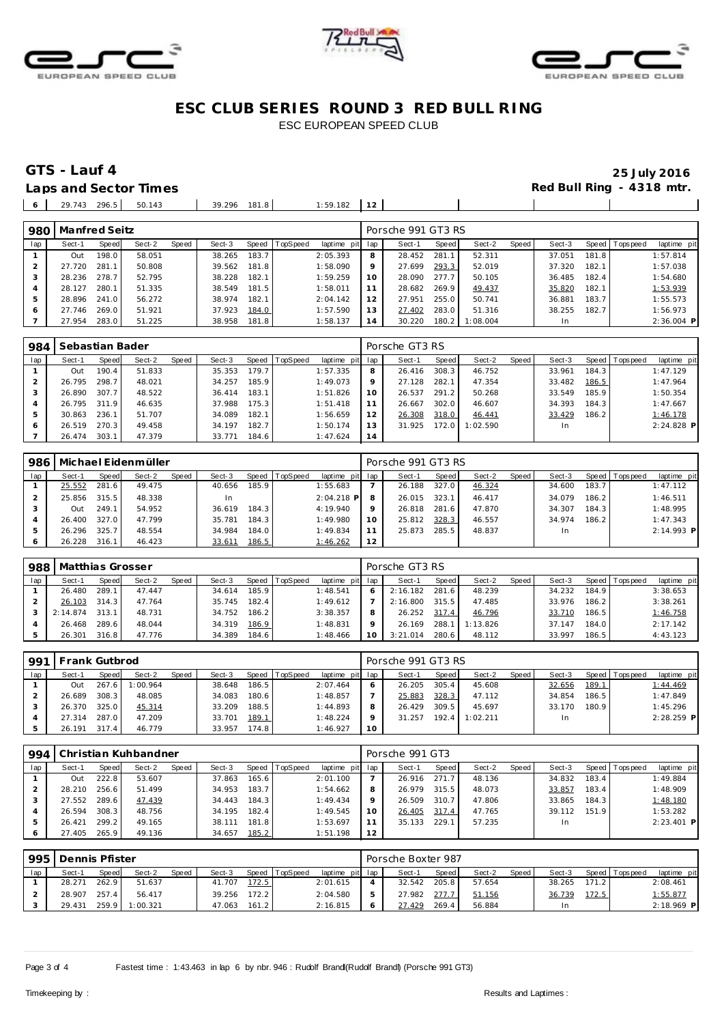





### **GTS - Lauf 4 25 July 2016** Laps and Sector Times **Red Bull Ring - 4318 mtr.**

| 206<br>$\overline{a}$<br>$\sim$<br>14.5<br>. . | 50<br>. | 181<br>39.296<br>.<br> | :59.182 | - - |  |  |
|------------------------------------------------|---------|------------------------|---------|-----|--|--|
|                                                |         |                        |         |     |  |  |

| 980 | Manfred Seitz |                       |        |       |        |       |          |                 |         | Porsche 991 GT3 RS |       |          |       |        |       |                 |              |
|-----|---------------|-----------------------|--------|-------|--------|-------|----------|-----------------|---------|--------------------|-------|----------|-------|--------|-------|-----------------|--------------|
| lap | Sect-1        | Speed                 | Sect-2 | Speed | Sect-3 | Speed | TopSpeed | laptime pit lap |         | Sect-1             | Speed | Sect-2   | Speed | Sect-3 |       | Speed Tops peed | laptime pit  |
|     | Out           | 198.0                 | 58.051 |       | 38.265 | 183.7 |          | 2:05.393        | 8       | 28.452             | 281.7 | 52.311   |       | 37.051 | 181.8 |                 | 1:57.814     |
|     | 27.720        | 281<br>$\overline{1}$ | 50.808 |       | 39.562 | 181.8 |          | 1:58.090        | $\circ$ | 27.699             | 293.3 | 52.019   |       | 37.320 | 182.1 |                 | 1:57.038     |
|     | 28.236        | 278.7                 | 52.795 |       | 38.228 | 182.1 |          | 1:59.259        | 10      | 28.090             | 277.7 | 50.105   |       | 36.485 | 182.4 |                 | 1:54.680     |
|     | 28.127        | 280.1                 | 51.335 |       | 38.549 | 181.5 |          | 1:58.011        |         | 28.682             | 269.9 | 49.437   |       | 35.820 | 182.1 |                 | 1:53.939     |
| 5   | 28.896        | 241.0                 | 56.272 |       | 38.974 | 182.1 |          | 2:04.142        | 12      | 27.951             | 255.0 | 50.741   |       | 36.881 | 183.7 |                 | 1:55.573     |
| 6   | 27.746        | 269.0                 | 51.921 |       | 37.923 | 184.0 |          | 1:57.590        | 13      | 27.402             | 283.0 | 51.316   |       | 38.255 | 182.7 |                 | 1:56.973     |
|     | 27.954        | 283.0                 | 51.225 |       | 38.958 | 181.8 |          | 1:58.137        | 14      | 30.220             | 180.2 | 1:08.004 |       | In     |       |                 | $2:36.004$ P |

| 984 | Sebastian Bader |       |        |       |        |       |                |             |     | Porsche GT3 RS |       |          |       |        |       |                 |              |
|-----|-----------------|-------|--------|-------|--------|-------|----------------|-------------|-----|----------------|-------|----------|-------|--------|-------|-----------------|--------------|
| lap | Sect-1          | Speed | Sect-2 | Speed | Sect-3 |       | Speed TopSpeed | laptime pit | lap | Sect-1         | Speed | Sect-2   | Speed | Sect-3 |       | Speed Tops peed | laptime pit  |
|     | Out             | 190.4 | 51.833 |       | 35.353 | 179.7 |                | 1:57.335    | 8   | 26.416         | 308.3 | 46.752   |       | 33.961 | 184.3 |                 | 1:47.129     |
|     | 26.795          | 298.7 | 48.021 |       | 34.257 | 185.9 |                | 1:49.073    | 9   | 27.128         | 282.  | 47.354   |       | 33.482 | 186.5 |                 | 1:47.964     |
|     | 26.890          | 307.7 | 48.522 |       | 36.414 | 183.1 |                | 1:51.826    | 10  | 26.537         | 291.2 | 50.268   |       | 33.549 | 185.9 |                 | 1:50.354     |
|     | 26.795          | 311.9 | 46.635 |       | 37.988 | 175.3 |                | 1:51.418    |     | 26.667         | 302.0 | 46.607   |       | 34.393 | 184.3 |                 | 1:47.667     |
| 5   | 30.863          | 236.1 | 51.707 |       | 34.089 | 182.1 |                | 1:56.659    | 12  | 26.308         | 318.0 | 46.441   |       | 33.429 | 186.2 |                 | 1:46.178     |
| 6   | 26.519          | 270.3 | 49.458 |       | 34.197 | 182.7 |                | 1:50.174    | 13  | 31.925         | 172.0 | 1:02.590 |       | In.    |       |                 | $2:24.828$ P |
|     | 26.474          | 303.1 | 47.379 |       | 33.771 | 184.6 |                | 1:47.624    | 14  |                |       |          |       |        |       |                 |              |

| 986 |        |       | Michael Eidenmüller |       |           |       |                |              |         | Porsche 991 GT3 RS |       |        |       |        |        |                |              |
|-----|--------|-------|---------------------|-------|-----------|-------|----------------|--------------|---------|--------------------|-------|--------|-------|--------|--------|----------------|--------------|
| lap | Sect-1 | Speed | Sect-2              | Speed | Sect-3    |       | Speed TopSpeed | laptime pit  | lap     | Sect-1             | Speed | Sect-2 | Speed | Sect-3 |        | Speed Topspeed | laptime pit  |
|     | 25.552 | 281.6 | 49.475              |       | 40.656    | 185.9 |                | 1:55.683     |         | 26.188             | 327.0 | 46.324 |       | 34.600 | 183.7  |                | 1:47.112     |
|     | 25.856 | 315.5 | 48.338              |       | <b>In</b> |       |                | $2:04.218$ P | 8       | 26.015             | 323.1 | 46.417 |       | 34.079 | 186.2  |                | 1:46.511     |
|     | Out    | 249.1 | 54.952              |       | 36.619    | 184.3 |                | 4:19.940     | $\circ$ | 26.818             | 281.6 | 47.870 |       | 34.307 | 184.3. |                | 1:48.995     |
|     | 26.400 | 327.0 | 47.799              |       | 35.781    | 184.3 |                | 1:49.980     | 10      | 25.812             | 328.3 | 46.557 |       | 34.974 | 186.2  |                | 1:47.343     |
| 5   | 26.296 | 325.7 | 48.554              |       | 34.984    | 184.0 |                | 1:49.834     | 11      | 25.873             | 285.5 | 48.837 |       | In.    |        |                | $2:14.993$ P |
| O   | 26.228 | 316.1 | 46.423              |       | 33.611    | 186.5 |                | 1:46.262     | 12      |                    |       |        |       |        |        |                |              |

| 988 | Matthias Grosser |       |        |       |        |       |          |                 |   | Porsche GT3 RS |           |          |       |        |       |                |             |
|-----|------------------|-------|--------|-------|--------|-------|----------|-----------------|---|----------------|-----------|----------|-------|--------|-------|----------------|-------------|
| lap | Sect-1           | Speed | Sect-2 | Speed | Sect-3 | Speed | TopSpeed | laptime pit lap |   | Sect-1         | Speed     | Sect-2   | Speed | Sect-3 |       | Speed Topspeed | laptime pit |
|     | 26.480           | 289.  | 47.447 |       | 34.614 | 185.9 |          | 1:48.541        | n | 2:16.182       | 281.6     | 48.239   |       | 34.232 | 184.9 |                | 3:38.653    |
|     | 26.103           | 314.3 | 47.764 |       | 35.745 | 182.4 |          | 1:49.612        |   | 2:16.800       | 315.5     | 47.485   |       | 33.976 | 186.2 |                | 3:38.261    |
|     | 2:14.874         | 313.1 | 48.731 |       | 34.752 | 186.2 |          | 3:38.357        |   | 26.252         | $317.4$ i | 46.796   |       | 33.710 | 186.5 |                | 1:46.758    |
|     | 26.468           | 289.6 | 48.044 |       | 34.319 | 186.9 |          | 1:48.831        |   | 26.169         | 288.      | 1:13.826 |       | 37.147 | 184.0 |                | 2:17.142    |
|     | 26.301           | 316.8 | 47.776 |       | 34.389 | 184.6 |          | 1:48.466        |   | 3:21.014       | 280.6     | 48.112   |       | 33.997 | 186.5 |                | 4:43.123    |

| 991 | Frank Gutbrod |       |          |       |        |       |          |                 |                 | Porsche 991 GT3 RS |       |          |       |        |       |                 |              |
|-----|---------------|-------|----------|-------|--------|-------|----------|-----------------|-----------------|--------------------|-------|----------|-------|--------|-------|-----------------|--------------|
| lap | Sect-1        | Speed | Sect-2   | Speed | Sect-3 | Speed | TopSpeed | laptime pit lap |                 | Sect-1             | Speed | Sect-2   | Speed | Sect-3 |       | Speed Tops peed | laptime pit  |
|     | Out           | 267.6 | 1:00.964 |       | 38.648 | 186.5 |          | 2:07.464        |                 | 26.205             | 305.4 | 45.608   |       | 32.656 | 189.1 |                 | 1:44.469     |
|     | 26.689        | 308.3 | 48.085   |       | 34.083 | 180.6 |          | 1:48.857        |                 | 25.883             | 328.3 | 47.112   |       | 34.854 | 186.5 |                 | 1:47.849     |
|     | 26.370        | 325.0 | 45.314   |       | 33.209 | 188.5 |          | 1:44.893        |                 | 26.429             | 309.5 | 45.697   |       | 33.170 | 180.9 |                 | 1:45.296     |
|     | 27.314        | 287.0 | 47.209   |       | 33.701 | 189.1 |          | 1:48.224        |                 | 31.257             | 192.4 | 1:02.211 |       | In.    |       |                 | $2:28.259$ P |
|     | 26.191        | 317.4 | 46.779   |       | 33.957 | 174.8 |          | 1:46.927        | 10 <sup>°</sup> |                    |       |          |       |        |       |                 |              |

| 994 |        |       | Christian Kuhbandner |       |        |       |                 |             |     | Porsche 991 GT3 |              |        |       |        |       |                |              |
|-----|--------|-------|----------------------|-------|--------|-------|-----------------|-------------|-----|-----------------|--------------|--------|-------|--------|-------|----------------|--------------|
| lap | Sect-1 | Speed | Sect-2               | Speed | Sect-3 | Speed | <b>TopSpeed</b> | laptime pit | lap | Sect-1          | <b>Speed</b> | Sect-2 | Speed | Sect-3 |       | Speed Topspeed | laptime pit  |
|     | Out    | 222.8 | 53.607               |       | 37.863 | 165.6 |                 | 2:01.100    |     | 26.916          | 271.7        | 48.136 |       | 34.832 | 183.4 |                | 1:49.884     |
|     | 28.210 | 256.6 | 51.499               |       | 34.953 | 183.7 |                 | 1:54.662    | 8   | 26.979          | 315.5        | 48.073 |       | 33.857 | 183.4 |                | 1:48.909     |
|     | 27.552 | 289.6 | 47.439               |       | 34.443 | 184.3 |                 | 1:49.434    | 9   | 26.509          | 310.7        | 47.806 |       | 33.865 | 184.3 |                | 1:48.180     |
|     | 26.594 | 308.3 | 48.756               |       | 34.195 | 182.4 |                 | 1:49.545    | 10  | 26.405          | 317.4        | 47.765 |       | 39.112 | 151.9 |                | 1:53.282     |
|     | 26.421 | 299.2 | 49.165               |       | 38.111 | 181.8 |                 | 1:53.697    | 11  | 35.133          | 229.1        | 57.235 |       | In.    |       |                | $2:23.401$ P |
|     | 27.405 | 265.9 | 49.136               |       | 34.657 | 185.2 |                 | 1:51.198    | 12  |                 |              |        |       |        |       |                |              |

| 995 | Dennis Pfister |              |          |       |        |           |                |                 | Porsche Boxter 987 |       |        |       |        |       |                   |              |
|-----|----------------|--------------|----------|-------|--------|-----------|----------------|-----------------|--------------------|-------|--------|-------|--------|-------|-------------------|--------------|
| lap | Sect-1         | <b>Speed</b> | Sect-2   | Speed | Sect-3 |           | Speed TopSpeed | laptime pit lap | Sect-1             | Speed | Sect-2 | Speed | Sect-3 |       | Speed   Tops peed | laptime pit  |
|     | 28.271         | 262.9        | 51.637   |       | 41.707 | 172.5     |                | 2:01.615        | 32.542             | 205.8 | 57.654 |       | 38.265 | 171.2 |                   | 2:08.461     |
|     | 28.907         | 257.4        | 56.417   |       | 39.256 | $172.2$ J |                | 2:04.580        | 27.982             | 277.7 | 51.156 |       | 36.739 | 172.5 |                   | 1:55.877     |
|     | 29.431         | 259.9        | 1:00.321 |       | 47.063 | 161.2     |                | 2:16.815        | 27.429             | 269.4 | 56.884 |       | In     |       |                   | $2:18.969$ P |